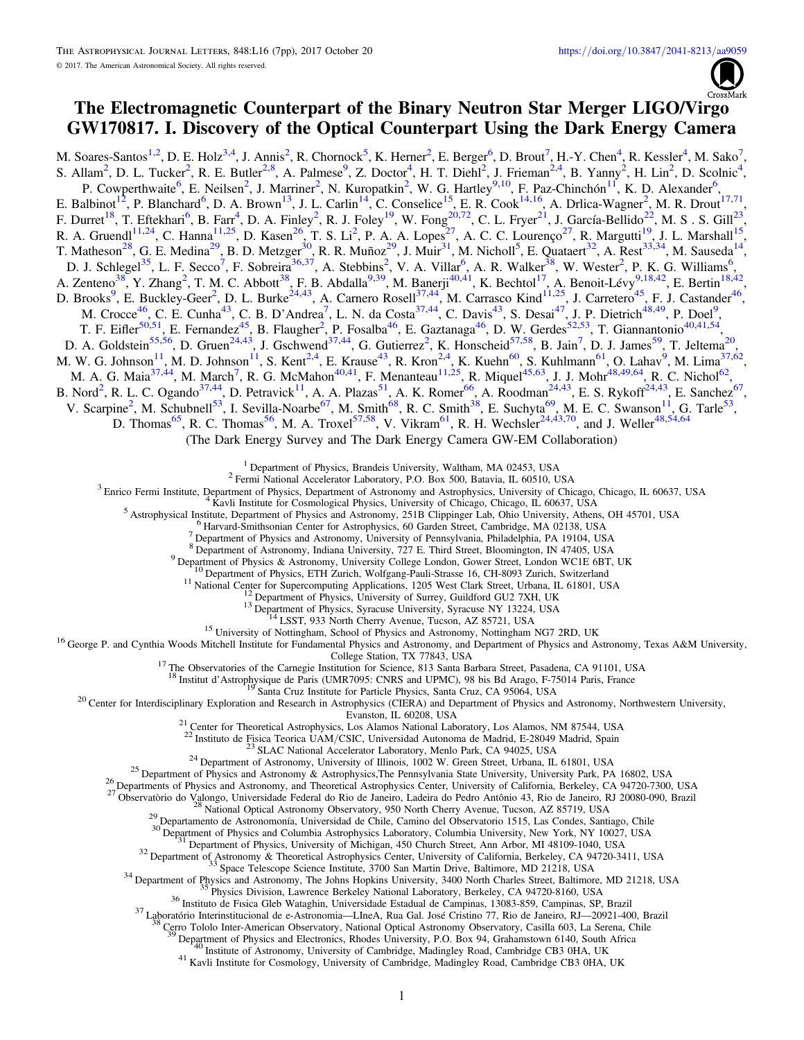

# The Electromagnetic Counterpart of the Binary Neutron Star Merger LIGO/Virgo GW170817. I. Discovery of the Optical Counterpart Using the Dark Energy Camera

M. Soares-Santos<sup>1,2</sup>, D. E. Holz<sup>3,4</sup>, J. Annis<sup>2</sup>, R. Chornock<sup>5</sup>, K. Herner<sup>2</sup>, E. Berger<sup>6</sup>, D. Brout<sup>7</sup>, H.-Y. Chen<sup>4</sup>, R. Kessler<sup>4</sup>, M. Sako<sup>7</sup>, S. Allam<sup>2</sup>, D. L. Tucker<sup>2</sup>, R. E. Butler<sup>2,8</sup>, A. Palmese<sup>9</sup>, Z. Doctor<sup>4</sup>, H. T. Diehl<sup>2</sup>, J. Frieman<sup>2,4</sup>, B. Yanny<sup>2</sup>, H. Lin<sup>2</sup>, D. Scolnic<sup>4</sup>, P. Cowperthwaite<sup>6</sup>, E. Neilsen<sup>2</sup>, J. Marriner<sup>2</sup>, N. Kuropatkin<sup>2</sup>, W. G. Hartley<sup>9,10</sup>, F. Paz-Chinchón<sup>11</sup>, K. D. Alexander<sup>6</sup>, E. Balbinot<sup>12</sup>, P. Blanchard<sup>6</sup>, D. A. Brown<sup>13</sup>, J. L. Carlin<sup>14</sup>, C. Conselice<sup>15</sup>, E. R. Cook<sup>14,16</sup>, A. Drlica-Wagner<sup>2</sup>, M. R. Drout<sup>17,71</sup>, F. Durret<sup>18</sup>, T. Eftekhari<sup>6</sup>, B. Farr<sup>4</sup>, D. A. Finley<sup>2</sup>, R. J. Foley<sup>19</sup>, W. Fong<sup>20,72</sup>, C. L. Fryer<sup>21</sup>, J. García-Bellido<sup>22</sup>, M. S. S. Gill<sup>23</sup>, R. A. Gruendl<sup>11,24</sup>, C. Hanna<sup>11,25</sup>, D. Kasen<sup>26</sup>, T. S. Li<sup>2</sup>, P. A. A. Lopes<sup>27</sup>, A. C. C. Lourenço<sup>27</sup>, R. Margutti<sup>19</sup>, J. L. Marshall<sup>15</sup>, T. Matheson<sup>28</sup>, G. E. Medina<sup>29</sup>, B. D. Metzger<sup>30</sup>, R. R. Muñoz<sup>29</sup>, J. Muir<sup>31</sup>, M. Nicholl<sup>5</sup>, E. Quataert<sup>32</sup>, A. Rest<sup>33,34</sup>, M. Sauseda<sup>14</sup>, D. J. Schlegel<sup>35</sup>, L. F. Secco<sup>7</sup>, F. Sobreira<sup>36,37</sup>, A. Stebbins<sup>2</sup>, V. A. Villar<sup>6</sup>, A. R. Walker<sup>38</sup>, W. Wester<sup>2</sup>, P. K. G. Williams<sup>6</sup>, A. Zenteno<sup>38</sup>, Y. Zhang<sup>2</sup>, T. M. C. Abbott<sup>38</sup>, F. B. Abdalla<sup>9,39</sup>, M. Banerji<sup>40,41</sup>, K. Bechtol<sup>17</sup>, A. Benoit-Lévy<sup>9,18,42</sup>, E. Bertin<sup>18,42</sup>, D. Brooks<sup>9</sup>, E. Buckley-Geer<sup>2</sup>, D. L. Burke<sup>24,43</sup>, A. Carnero Rosell<sup>37,44</sup>, M. Carrasco Kind<sup>11,25</sup>, J. Carretero<sup>45</sup>, F. J. Castander<sup>46</sup>, M. Crocce<sup>46</sup>, C. E. Cunha<sup>43</sup>, C. B. D'Andrea<sup>7</sup>, L. N. da Costa<sup>37,44</sup>, C. Davis<sup>43</sup>, S. Desai<sup>47</sup>, J. P. Dietrich<sup>48,49</sup>, P. Doel<sup>9</sup>, T. F. Eifler<sup>50,51</sup>, E. Fernandez<sup>45</sup>, B. Flaugher<sup>2</sup>, P. Fosalba<sup>46</sup>, E. Gaztanaga<sup>46</sup>, D. W. Gerdes<sup>52,53</sup>, T. Giannantonio<sup>40,41,54</sup>, D. A. Goldstein<sup>55,56</sup>, D. Gruen<sup>24,43</sup>, J. Gschwend<sup>37,44</sup>, G. Gutierrez<sup>2</sup>, K. Honscheid<sup>57,58</sup>, B. Jain<sup>7</sup>, D. J. James<sup>59</sup>, T. Jeltema<sup>20</sup>, M. W. G. Johnson<sup>11</sup>, M. D. Johnson<sup>11</sup>, S. Kent<sup>2,4</sup>, E. Krause<sup>43</sup>, R. Kron<sup>2,4</sup>, K. Kuehn<sup>60</sup>, S. Kuhlmann<sup>61</sup>, O. Lahav<sup>9</sup>, M. Lima<sup>37,62</sup>, M. A. G. Maia<sup>37,44</sup>, M. March<sup>7</sup>, R. G. McMahon<sup>40,41</sup>, F. Menanteau<sup>11,25</sup>, R. Miquel<sup>45,63</sup>, J. J. Mohr<sup>48,49,64</sup>, R. C. Nichol<sup>62</sup>, B. Nord<sup>2</sup>, R. L. C. Ogando<sup>37,44</sup>, D. Petravick<sup>11</sup>, A. A. Plazas<sup>51</sup>, A. K. Romer<sup>66</sup>, A. Roodman<sup>24,43</sup>, E. S. Rykoff<sup>24,43</sup>, E. Sanchez<sup>67</sup>, V. Scarpine<sup>2</sup>, M. Schubnell<sup>53</sup>, I. Sevilla-Noarbe<sup>67</sup>, M. Smith<sup>68</sup>, R. C. Smith<sup>38</sup>, E. Suchyta<sup>69</sup>, M. E. C. Swanson<sup>11</sup>, G. Tarle<sup>53</sup>, D. Thomas<sup>65</sup>, R. C. Thomas<sup>56</sup>, M. A. Troxel<sup>57,58</sup>, V. Vikram<sup>61</sup>, R. H. Wechsler<sup>24,43,70</sup>, and J. Weller<sup>48,54,64</sup>

(The Dark Energy Survey and The Dark Energy Camera GW-EM Collaboration)

<sup>1</sup> Department of Physics, Brandeis University, Waltham, MA 02453, USA<br><sup>2</sup> Fermi National Accelerator Laboratory, P.O. Box 500, Batavia, IL 60510, USA<br><sup>3</sup> Enrico Fermi Institute, Department of Physics, Department of Astro

<sup>9</sup><br>
Department of Physics & Astronomy, University College London, Gower Street, London WCIE 6BT, UK<br>
<sup>10</sup> Department of Physics, ETH Zurich, Wolfgang-Pauli-Strasse 16, CH-8093 Zurich, Switzerland<br>
<sup>11</sup> National Center for

College Station, TX 77843, USA<br><sup>17</sup> The Observatories of the Carnegie Institution for Science, 813 Santa Barbara Street, Pasadena, CA 91101, USA

<sup>18</sup> Institut d'Astrophysique de Paris (UMR7095: CNRS and UPMC), 98 bis Bd Arago, F-75014 Paris, France<br><sup>20</sup> Center for Interdisciplinary Exploration and Research in Astrophysics (CIERA) and Department of Physics and Astro

<sup>2.3</sup> SLAC National Accelerator Laboratory, Menlo Park, CA 94025, USA<br><sup>2.5</sup> Department of Physics and Astronomy, University of Illinois, 1002 W. Green Street, Urbana, IL 61801, USA<br><sup>26</sup> Departments of Physics and Astronom

Department of Physics and Electronics, Rhodes University, P.O. Box 94, Grahamstown 6140, South Africa<br><sup>40</sup> Institute of Astronomy, University of Cambridge, Madingley Road, Cambridge CB3 0HA, UK<br><sup>41</sup> Kavli Institute for Cos

<sup>20</sup> Center for Interdisciplinary Exploration and Research in Astrophysics (CIERA) and Department of Physics and Astronomy, Northwestern University,<br>Evanston, IL 60208, USA<br><sup>21</sup> Center for Theoretical Astrophysics, Los Al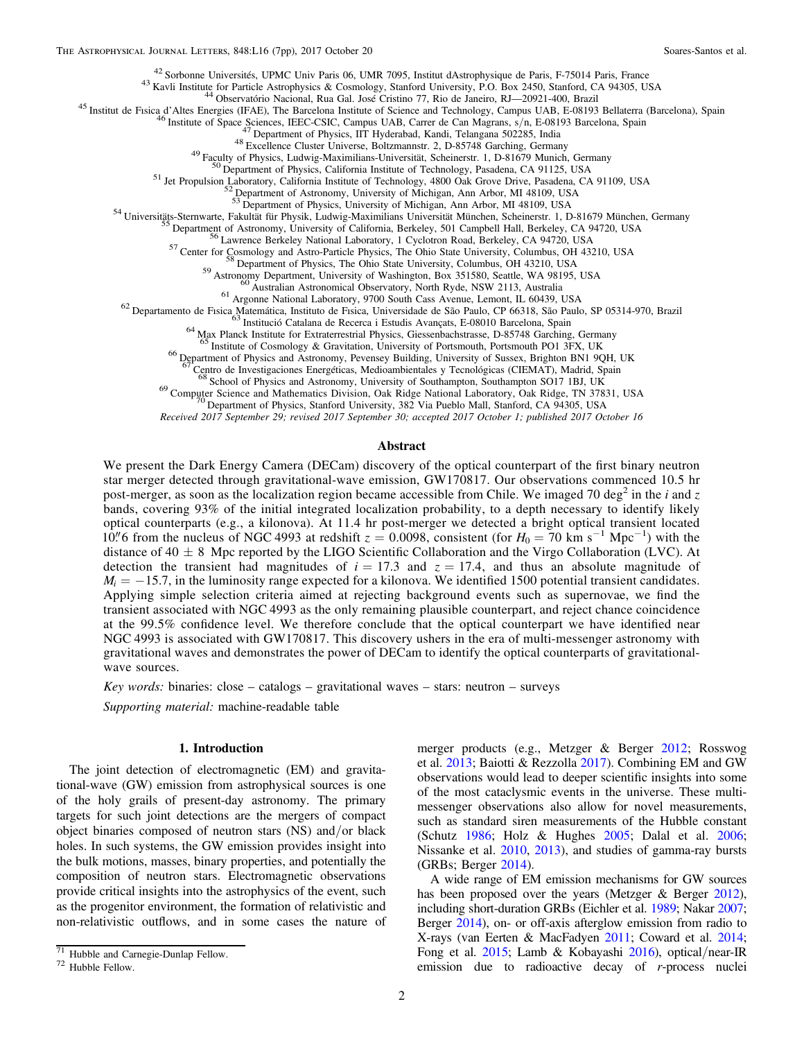<sup>42</sup> Sorbonne Universités, UPMC Univ Paris 06, UMR 7095, Institut dAstrophysique de Paris, F-75014 Paris, France<br>
<sup>43</sup> Kavli Institut for Particle Astrophysics & Cosmology, Stanford University, P.O. Box 2450, Stanford, CA

<sup>54</sup> Universitäts-Sternwarte, Fakultät für Physik, Ludwig-Maximilians Universität München, Scheinerstr. 1, D-81679 München, Germany<br>
<sup>55</sup> Department of Astronomy, University of California, Berkeley, 501 Campbell Hall, Ber

<sup>65</sup> Institute of Cosmology & Gravitation, University of Portsmouth, Portsmouth PO1 3FX, UK<br>
<sup>66</sup> Department of Physics and Astronomy, Pevensey Building, University of Sussex, Brighton BN1 9QH, UK<br>
<sup>67</sup> Centro de Investig

<sup>68</sup> School of Physics and Astronomy, University of Southampton, Southampton SO17 1BJ, UK<br><sup>69</sup> Computer Science and Mathematics Division, Oak Ridge National Laboratory, Oak Ridge, TN 37831, USA<br><sup>70</sup> Department of Physics,

Received 2017 September 29; revised 2017 September 30; accepted 2017 October 1; published 2017 October 16

### Abstract

We present the Dark Energy Camera (DECam) discovery of the optical counterpart of the first binary neutron star merger detected through gravitational-wave emission, GW170817. Our observations commenced 10.5 hr post-merger, as soon as the localization region became accessible from Chile. We imaged 70 deg<sup>2</sup> in the i and z bands, covering 93% of the initial integrated localization probability, to a depth necessary to identify likely optical counterparts (e.g., a kilonova). At 11.4 hr post-merger we detected a bright optical transient located 10. 6 from the nucleus of NGC 4993 at redshift  $z = 0.0098$ , consistent (for  $H_0 = 70 \text{ km s}^{-1} \text{ Mpc}^{-1}$ ) with the distance of 40  $\pm$  8 Mpc reported by the LIGO Scientific Collaboration and the Virgo Collaboration (LVC). At detection the transient had magnitudes of  $i = 17.3$  and  $z = 17.4$ , and thus an absolute magnitude of  $M_i = -15.7$ , in the luminosity range expected for a kilonova. We identified 1500 potential transient candidates. Applying simple selection criteria aimed at rejecting background events such as supernovae, we find the transient associated with NGC 4993 as the only remaining plausible counterpart, and reject chance coincidence at the 99.5% confidence level. We therefore conclude that the optical counterpart we have identified near NGC 4993 is associated with GW170817. This discovery ushers in the era of multi-messenger astronomy with gravitational waves and demonstrates the power of DECam to identify the optical counterparts of gravitationalwave sources.

Key words: binaries: close – catalogs – gravitational waves – stars: neutron – surveys Supporting material: machine-readable table

### 1. Introduction

The joint detection of electromagnetic (EM) and gravitational-wave (GW) emission from astrophysical sources is one of the holy grails of present-day astronomy. The primary targets for such joint detections are the mergers of compact object binaries composed of neutron stars (NS) and/or black holes. In such systems, the GW emission provides insight into the bulk motions, masses, binary properties, and potentially the composition of neutron stars. Electromagnetic observations provide critical insights into the astrophysics of the event, such as the progenitor environment, the formation of relativistic and non-relativistic outflows, and in some cases the nature of

 $\frac{71}{72}$  Hubble and Carnegie-Dunlap Fellow.<br><sup>72</sup> Hubble Fellow.

merger products (e.g., Metzger & Berger 2012; Rosswog et al. 2013; Baiotti & Rezzolla 2017). Combining EM and GW observations would lead to deeper scientific insights into some of the most cataclysmic events in the universe. These multimessenger observations also allow for novel measurements, such as standard siren measurements of the Hubble constant (Schutz 1986; Holz & Hughes 2005; Dalal et al. 2006; Nissanke et al. 2010, 2013), and studies of gamma-ray bursts (GRBs; Berger 2014).

A wide range of EM emission mechanisms for GW sources has been proposed over the years (Metzger & Berger 2012), including short-duration GRBs (Eichler et al. 1989; Nakar 2007; Berger 2014), on- or off-axis afterglow emission from radio to X-rays (van Eerten & MacFadyen 2011; Coward et al. 2014; Fong et al. 2015; Lamb & Kobayashi 2016), optical/near-IR emission due to radioactive decay of r-process nuclei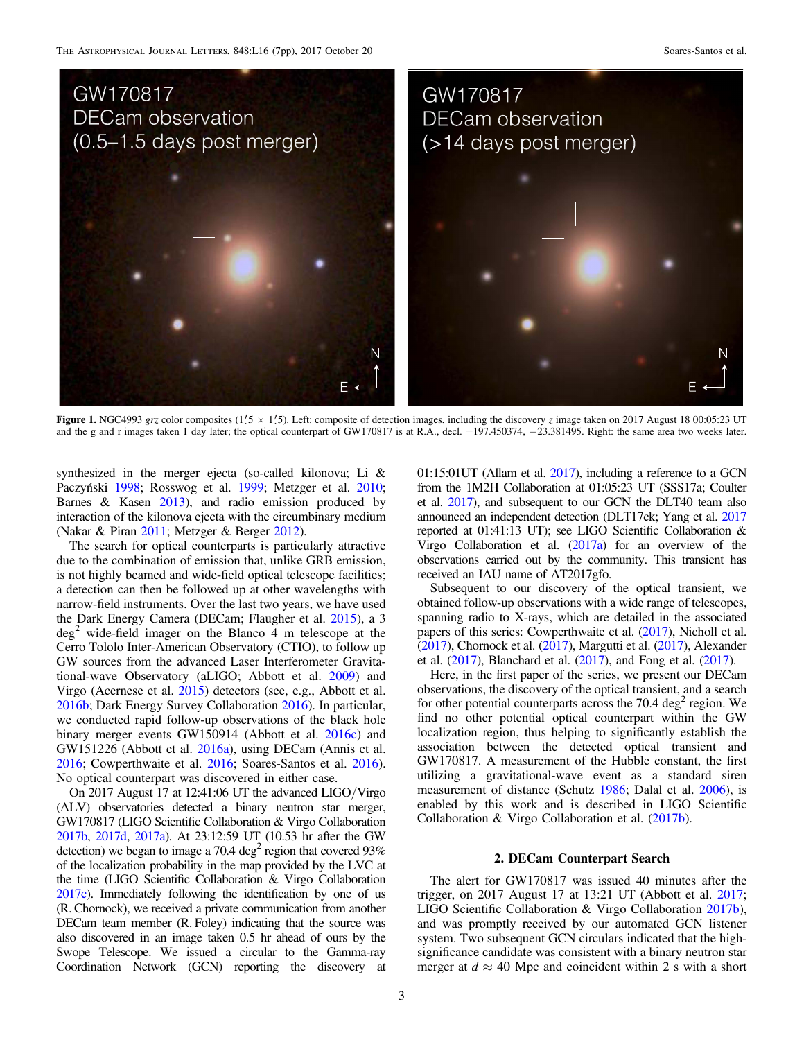

Figure 1. NGC4993 grz color composites (1/5  $\times$  1/5). Left: composite of detection images, including the discovery z image taken on 2017 August 18 00:05:23 UT and the g and r images taken 1 day later; the optical counterpart of GW170817 is at R.A., decl. = 197.450374, -23.381495. Right: the same area two weeks later.

synthesized in the merger ejecta (so-called kilonova; Li & Paczyński 1998; Rosswog et al. 1999; Metzger et al. 2010; Barnes & Kasen 2013), and radio emission produced by interaction of the kilonova ejecta with the circumbinary medium (Nakar & Piran 2011; Metzger & Berger 2012).

The search for optical counterparts is particularly attractive due to the combination of emission that, unlike GRB emission, is not highly beamed and wide-field optical telescope facilities; a detection can then be followed up at other wavelengths with narrow-field instruments. Over the last two years, we have used the Dark Energy Camera (DECam; Flaugher et al. 2015), a 3  $\deg^2$  wide-field imager on the Blanco 4 m telescope at the Cerro Tololo Inter-American Observatory (CTIO), to follow up GW sources from the advanced Laser Interferometer Gravitational-wave Observatory (aLIGO; Abbott et al. 2009) and Virgo (Acernese et al. 2015) detectors (see, e.g., Abbott et al. 2016b; Dark Energy Survey Collaboration 2016). In particular, we conducted rapid follow-up observations of the black hole binary merger events GW150914 (Abbott et al. 2016c) and GW151226 (Abbott et al. 2016a), using DECam (Annis et al. 2016; Cowperthwaite et al. 2016; Soares-Santos et al. 2016). No optical counterpart was discovered in either case.

On 2017 August 17 at 12:41:06 UT the advanced LIGO/Virgo (ALV) observatories detected a binary neutron star merger, GW170817 (LIGO Scientific Collaboration & Virgo Collaboration 2017b, 2017d, 2017a). At 23:12:59 UT (10.53 hr after the GW detection) we began to image a 70.4 deg<sup>2</sup> region that covered 93% of the localization probability in the map provided by the LVC at the time (LIGO Scientific Collaboration & Virgo Collaboration 2017c). Immediately following the identification by one of us (R. Chornock), we received a private communication from another DECam team member (R. Foley) indicating that the source was also discovered in an image taken 0.5 hr ahead of ours by the Swope Telescope. We issued a circular to the Gamma-ray Coordination Network (GCN) reporting the discovery at 01:15:01UT (Allam et al. 2017), including a reference to a GCN from the 1M2H Collaboration at 01:05:23 UT (SSS17a; Coulter et al. 2017), and subsequent to our GCN the DLT40 team also announced an independent detection (DLT17ck; Yang et al. 2017 reported at 01:41:13 UT); see LIGO Scientific Collaboration & Virgo Collaboration et al. (2017a) for an overview of the observations carried out by the community. This transient has received an IAU name of AT2017gfo.

Subsequent to our discovery of the optical transient, we obtained follow-up observations with a wide range of telescopes, spanning radio to X-rays, which are detailed in the associated papers of this series: Cowperthwaite et al. (2017), Nicholl et al. (2017), Chornock et al. (2017), Margutti et al. (2017), Alexander et al. (2017), Blanchard et al. (2017), and Fong et al. (2017).

Here, in the first paper of the series, we present our DECam observations, the discovery of the optical transient, and a search for other potential counterparts across the 70.4 deg<sup>2</sup> region. We find no other potential optical counterpart within the GW localization region, thus helping to significantly establish the association between the detected optical transient and GW170817. A measurement of the Hubble constant, the first utilizing a gravitational-wave event as a standard siren measurement of distance (Schutz 1986; Dalal et al. 2006), is enabled by this work and is described in LIGO Scientific Collaboration & Virgo Collaboration et al. (2017b).

## 2. DECam Counterpart Search

The alert for GW170817 was issued 40 minutes after the trigger, on 2017 August 17 at 13:21 UT (Abbott et al. 2017; LIGO Scientific Collaboration & Virgo Collaboration 2017b), and was promptly received by our automated GCN listener system. Two subsequent GCN circulars indicated that the highsignificance candidate was consistent with a binary neutron star merger at  $d \approx 40$  Mpc and coincident within 2 s with a short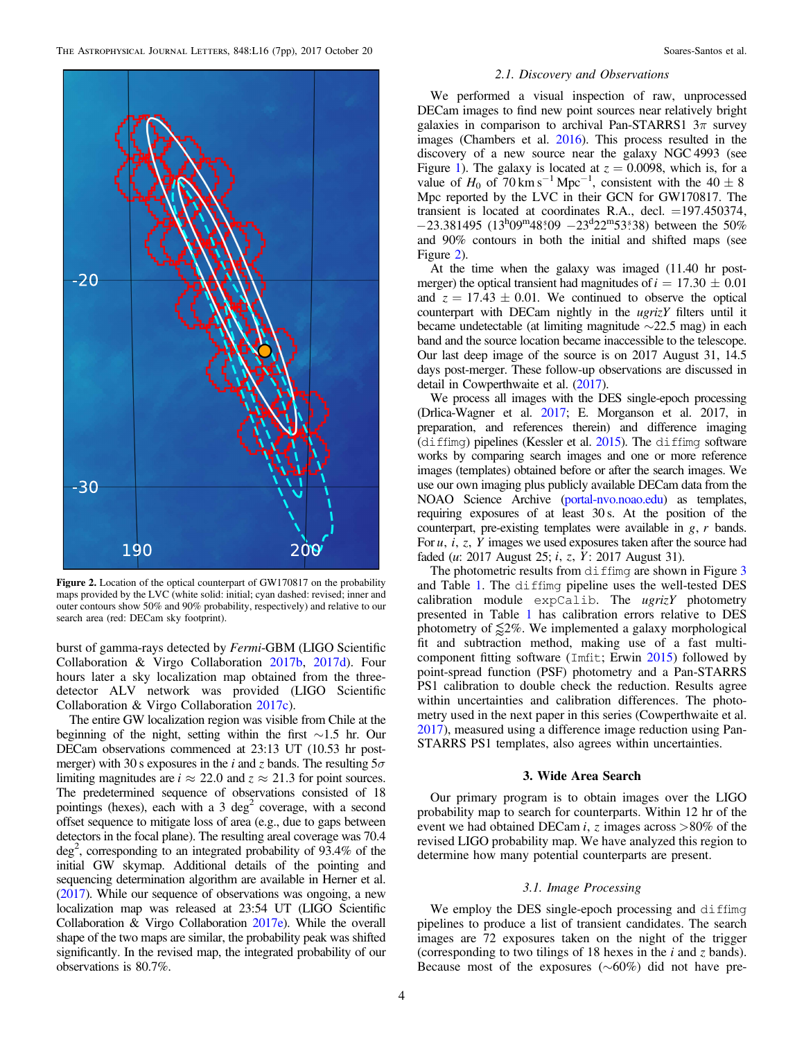

Figure 2. Location of the optical counterpart of GW170817 on the probability maps provided by the LVC (white solid: initial; cyan dashed: revised; inner and outer contours show 50% and 90% probability, respectively) and relative to our search area (red: DECam sky footprint).

burst of gamma-rays detected by Fermi-GBM (LIGO Scientific Collaboration & Virgo Collaboration 2017b, 2017d). Four hours later a sky localization map obtained from the threedetector ALV network was provided (LIGO Scientific Collaboration & Virgo Collaboration 2017c).

The entire GW localization region was visible from Chile at the beginning of the night, setting within the first ∼1.5 hr. Our DECam observations commenced at 23:13 UT (10.53 hr postmerger) with 30 s exposures in the *i* and *z* bands. The resulting  $5\sigma$ limiting magnitudes are  $i \approx 22.0$  and  $z \approx 21.3$  for point sources. The predetermined sequence of observations consisted of 18 pointings (hexes), each with a  $3 \text{ deg}^2$  coverage, with a second offset sequence to mitigate loss of area (e.g., due to gaps between detectors in the focal plane). The resulting areal coverage was 70.4 deg<sup>2</sup>, corresponding to an integrated probability of 93.4% of the initial GW skymap. Additional details of the pointing and sequencing determination algorithm are available in Herner et al. (2017). While our sequence of observations was ongoing, a new localization map was released at 23:54 UT (LIGO Scientific Collaboration & Virgo Collaboration 2017e). While the overall shape of the two maps are similar, the probability peak was shifted significantly. In the revised map, the integrated probability of our observations is 80.7%.

### 2.1. Discovery and Observations

We performed a visual inspection of raw, unprocessed DECam images to find new point sources near relatively bright galaxies in comparison to archival Pan-STARRS1  $3\pi$  survey images (Chambers et al. 2016). This process resulted in the discovery of a new source near the galaxy NGC 4993 (see Figure 1). The galaxy is located at  $z = 0.0098$ , which is, for a value of  $H_0$  of  $70 \text{ km s}^{-1} \text{ Mpc}^{-1}$ , consistent with the  $40 \pm 8$ Mpc reported by the LVC in their GCN for GW170817. The transient is located at coordinates R.A., decl. =197.450374,  $-23.381495$  ( $13^{h}09^{m}48^{s}09 - 23^{d}22^{m}53^{s}38$ ) between the 50% and 90% contours in both the initial and shifted maps (see Figure 2).

At the time when the galaxy was imaged (11.40 hr postmerger) the optical transient had magnitudes of  $i = 17.30 \pm 0.01$ and  $z = 17.43 \pm 0.01$ . We continued to observe the optical counterpart with DECam nightly in the ugrizY filters until it became undetectable (at limiting magnitude ∼22.5 mag) in each band and the source location became inaccessible to the telescope. Our last deep image of the source is on 2017 August 31, 14.5 days post-merger. These follow-up observations are discussed in detail in Cowperthwaite et al. (2017).

We process all images with the DES single-epoch processing (Drlica-Wagner et al. 2017; E. Morganson et al. 2017, in preparation, and references therein) and difference imaging (diffimg) pipelines (Kessler et al.  $2015$ ). The diffimg software works by comparing search images and one or more reference images (templates) obtained before or after the search images. We use our own imaging plus publicly available DECam data from the NOAO Science Archive (portal-nvo.noao.edu) as templates, requiring exposures of at least 30 s. At the position of the counterpart, pre-existing templates were available in *g*, *r* bands. For *u*, *i*, *z*, *Y* images we used exposures taken after the source had faded (u: 2017 August 25; *i*, *z*, *Y* : 2017 August 31).

The photometric results from  $di$  ffing are shown in Figure  $3$ and Table 1. The diffimg pipeline uses the well-tested DES calibration module  $expCalib$ . The *ugrizY* photometry presented in Table 1 has calibration errors relative to DES photometry of  $\leq 2\%$ . We implemented a galaxy morphological fit and subtraction method, making use of a fast multicomponent fitting software (Imfit; Erwin 2015) followed by point-spread function (PSF) photometry and a Pan-STARRS PS1 calibration to double check the reduction. Results agree within uncertainties and calibration differences. The photometry used in the next paper in this series (Cowperthwaite et al. 2017), measured using a difference image reduction using Pan-STARRS PS1 templates, also agrees within uncertainties.

## 3. Wide Area Search

Our primary program is to obtain images over the LIGO probability map to search for counterparts. Within 12 hr of the event we had obtained DECam *i*, *z* images across  $>80\%$  of the revised LIGO probability map. We have analyzed this region to determine how many potential counterparts are present.

## 3.1. Image Processing

We employ the DES single-epoch processing and diffimg pipelines to produce a list of transient candidates. The search images are 72 exposures taken on the night of the trigger (corresponding to two tilings of 18 hexes in the  $i$  and  $\zeta$  bands). Because most of the exposures (∼60%) did not have pre-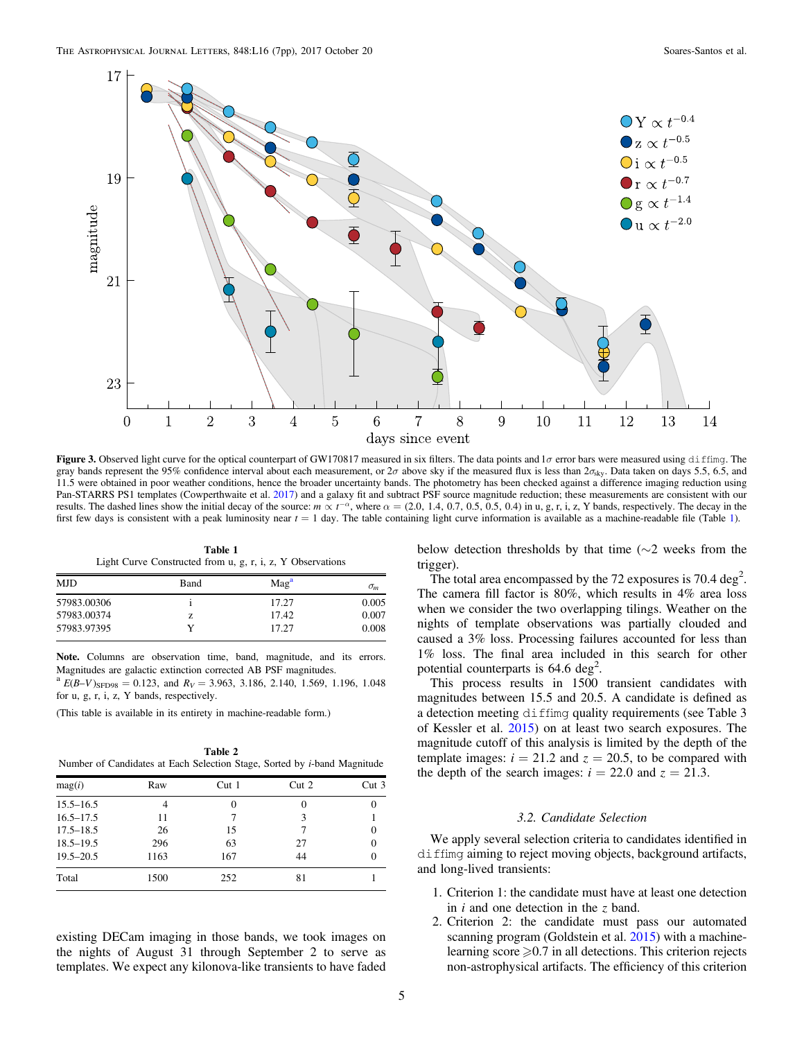

Figure 3. Observed light curve for the optical counterpart of GW170817 measured in six filters. The data points and  $1\sigma$  error bars were measured using diffimg. The gray bands represent the 95% confidence interval about each measurement, or  $2\sigma$  above sky if the measured flux is less than  $2\sigma_{\rm sky}$ . Data taken on days 5.5, 6.5, and 11.5 were obtained in poor weather conditions, hence the broader uncertainty bands. The photometry has been checked against a difference imaging reduction using Pan-STARRS PS1 templates (Cowperthwaite et al. 2017) and a galaxy fit and subtract PSF source magnitude reduction; these measurements are consistent with our results. The dashed lines show the initial decay of the source:  $m \propto t^{-\alpha}$ , where  $\alpha = (2.0, 1.4, 0.7, 0.5, 0.5, 0.4)$  in u, g, r, i, z, Y bands, respectively. The decay in the first few days is consistent with a peak luminosity near  $t = 1$  day. The table containing light curve information is available as a machine-readable file (Table 1).

Table 1 Light Curve Constructed from u, g, r, i, z, Y Observations

| MJD.        | Band | Mag <sup>a</sup> | $\sigma_m$ |
|-------------|------|------------------|------------|
| 57983.00306 |      | 17.27            | 0.005      |
| 57983.00374 | z    | 17.42            | 0.007      |
| 57983.97395 |      | 17.27            | 0.008      |

Note. Columns are observation time, band, magnitude, and its errors. Magnitudes are galactic extinction corrected AB PSF magnitudes.

 $A^{a} E(B-V)_{\text{SFD98}} = 0.123$ , and  $R_V = 3.963$ , 3.186, 2.140, 1.569, 1.196, 1.048 for u, g, r, i, z, Y bands, respectively.

(This table is available in its entirety in machine-readable form.)

Table 2 Number of Candidates at Each Selection Stage, Sorted by i-band Magnitude

| $\text{mag}(i)$ | Raw  | Cut <sub>1</sub> | Cut <sub>2</sub> | Cut <sub>3</sub> |
|-----------------|------|------------------|------------------|------------------|
| $15.5 - 16.5$   | 4    | O                |                  |                  |
| $16.5 - 17.5$   | 11   |                  | 3                |                  |
| $17.5 - 18.5$   | 26   | 15               |                  |                  |
| $18.5 - 19.5$   | 296  | 63               | 27               |                  |
| $19.5 - 20.5$   | 1163 | 167              | 44               |                  |
| Total           | 1500 | 252              | 81               |                  |

existing DECam imaging in those bands, we took images on the nights of August 31 through September 2 to serve as templates. We expect any kilonova-like transients to have faded

below detection thresholds by that time (∼2 weeks from the trigger).

The total area encompassed by the 72 exposures is 70.4 deg<sup>2</sup>. The camera fill factor is 80%, which results in 4% area loss when we consider the two overlapping tilings. Weather on the nights of template observations was partially clouded and caused a 3% loss. Processing failures accounted for less than 1% loss. The final area included in this search for other potential counterparts is  $64.6 \text{ deg}^2$ .

This process results in 1500 transient candidates with magnitudes between 15.5 and 20.5. A candidate is defined as a detection meeting diffimg quality requirements (see Table 3 of Kessler et al. 2015) on at least two search exposures. The magnitude cutoff of this analysis is limited by the depth of the template images:  $i = 21.2$  and  $z = 20.5$ , to be compared with the depth of the search images:  $i = 22.0$  and  $z = 21.3$ .

## 3.2. Candidate Selection

We apply several selection criteria to candidates identified in diffimg aiming to reject moving objects, background artifacts, and long-lived transients:

- 1. Criterion 1: the candidate must have at least one detection in  $i$  and one detection in the  $z$  band.
- 2. Criterion 2: the candidate must pass our automated scanning program (Goldstein et al. 2015) with a machinelearning score  $\geq 0.7$  in all detections. This criterion rejects non-astrophysical artifacts. The efficiency of this criterion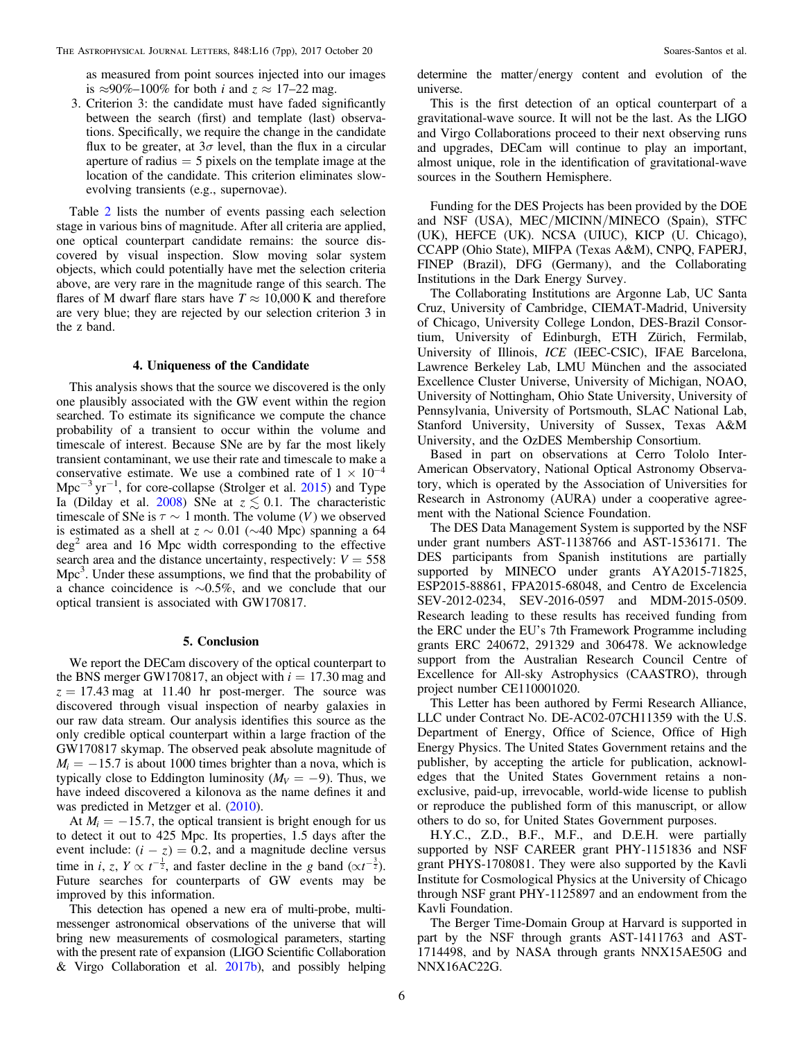as measured from point sources injected into our images is ≈90%–100% for both *i* and  $z \approx 17-22$  mag.

3. Criterion 3: the candidate must have faded significantly between the search (first) and template (last) observations. Specifically, we require the change in the candidate flux to be greater, at  $3\sigma$  level, than the flux in a circular aperture of radius  $= 5$  pixels on the template image at the location of the candidate. This criterion eliminates slowevolving transients (e.g., supernovae).

Table 2 lists the number of events passing each selection stage in various bins of magnitude. After all criteria are applied, one optical counterpart candidate remains: the source discovered by visual inspection. Slow moving solar system objects, which could potentially have met the selection criteria above, are very rare in the magnitude range of this search. The flares of M dwarf flare stars have  $T \approx 10,000$  K and therefore are very blue; they are rejected by our selection criterion 3 in the z band.

### 4. Uniqueness of the Candidate

This analysis shows that the source we discovered is the only one plausibly associated with the GW event within the region searched. To estimate its significance we compute the chance probability of a transient to occur within the volume and timescale of interest. Because SNe are by far the most likely transient contaminant, we use their rate and timescale to make a conservative estimate. We use a combined rate of  $1 \times 10^{-4}$  $Mpc^{-3}$  yr<sup>-1</sup>, for core-collapse (Strolger et al. 2015) and Type Ia (Dilday et al. 2008) SNe at  $z \lesssim 0.1$ . The characteristic timescale of SNe is  $\tau \sim 1$  month. The volume (V) we observed is estimated as a shell at  $z \sim 0.01$  ( $\sim$ 40 Mpc) spanning a 64  $\deg^2$  area and 16 Mpc width corresponding to the effective search area and the distance uncertainty, respectively:  $V = 558$ Mpc<sup>3</sup>. Under these assumptions, we find that the probability of a chance coincidence is ∼0.5%, and we conclude that our optical transient is associated with GW170817.

## 5. Conclusion

We report the DECam discovery of the optical counterpart to the BNS merger GW170817, an object with  $i = 17.30$  mag and  $z = 17.43$  mag at 11.40 hr post-merger. The source was discovered through visual inspection of nearby galaxies in our raw data stream. Our analysis identifies this source as the only credible optical counterpart within a large fraction of the GW170817 skymap. The observed peak absolute magnitude of  $M_i = -15.7$  is about 1000 times brighter than a nova, which is typically close to Eddington luminosity  $(M_V = -9)$ . Thus, we have indeed discovered a kilonova as the name defines it and was predicted in Metzger et al.  $(2010)$ .

At  $M_i = -15.7$ , the optical transient is bright enough for us to detect it out to 425 Mpc. Its properties, 1.5 days after the event include:  $(i - z) = 0.2$ , and a magnitude decline versus time in *i*, *z*,  $Y \propto t^{-\frac{1}{2}}$ , and faster decline in the *g* band ( $\propto t^{-\frac{3}{2}}$ ). Future searches for counterparts of GW events may be improved by this information.

This detection has opened a new era of multi-probe, multimessenger astronomical observations of the universe that will bring new measurements of cosmological parameters, starting with the present rate of expansion (LIGO Scientific Collaboration & Virgo Collaboration et al. 2017b), and possibly helping determine the matter/energy content and evolution of the universe.

This is the first detection of an optical counterpart of a gravitational-wave source. It will not be the last. As the LIGO and Virgo Collaborations proceed to their next observing runs and upgrades, DECam will continue to play an important, almost unique, role in the identification of gravitational-wave sources in the Southern Hemisphere.

Funding for the DES Projects has been provided by the DOE and NSF (USA), MEC/MICINN/MINECO (Spain), STFC (UK), HEFCE (UK). NCSA (UIUC), KICP (U. Chicago), CCAPP (Ohio State), MIFPA (Texas A&M), CNPQ, FAPERJ, FINEP (Brazil), DFG (Germany), and the Collaborating Institutions in the Dark Energy Survey.

The Collaborating Institutions are Argonne Lab, UC Santa Cruz, University of Cambridge, CIEMAT-Madrid, University of Chicago, University College London, DES-Brazil Consortium, University of Edinburgh, ETH Zürich, Fermilab, University of Illinois, ICE (IEEC-CSIC), IFAE Barcelona, Lawrence Berkeley Lab, LMU München and the associated Excellence Cluster Universe, University of Michigan, NOAO, University of Nottingham, Ohio State University, University of Pennsylvania, University of Portsmouth, SLAC National Lab, Stanford University, University of Sussex, Texas A&M University, and the OzDES Membership Consortium.

Based in part on observations at Cerro Tololo Inter-American Observatory, National Optical Astronomy Observatory, which is operated by the Association of Universities for Research in Astronomy (AURA) under a cooperative agreement with the National Science Foundation.

The DES Data Management System is supported by the NSF under grant numbers AST-1138766 and AST-1536171. The DES participants from Spanish institutions are partially supported by MINECO under grants AYA2015-71825, ESP2015-88861, FPA2015-68048, and Centro de Excelencia SEV-2012-0234, SEV-2016-0597 and MDM-2015-0509. Research leading to these results has received funding from the ERC under the EU's 7th Framework Programme including grants ERC 240672, 291329 and 306478. We acknowledge support from the Australian Research Council Centre of Excellence for All-sky Astrophysics (CAASTRO), through project number CE110001020.

This Letter has been authored by Fermi Research Alliance, LLC under Contract No. DE-AC02-07CH11359 with the U.S. Department of Energy, Office of Science, Office of High Energy Physics. The United States Government retains and the publisher, by accepting the article for publication, acknowledges that the United States Government retains a nonexclusive, paid-up, irrevocable, world-wide license to publish or reproduce the published form of this manuscript, or allow others to do so, for United States Government purposes.

H.Y.C., Z.D., B.F., M.F., and D.E.H. were partially supported by NSF CAREER grant PHY-1151836 and NSF grant PHYS-1708081. They were also supported by the Kavli Institute for Cosmological Physics at the University of Chicago through NSF grant PHY-1125897 and an endowment from the Kavli Foundation.

The Berger Time-Domain Group at Harvard is supported in part by the NSF through grants AST-1411763 and AST-1714498, and by NASA through grants NNX15AE50G and NNX16AC22G.